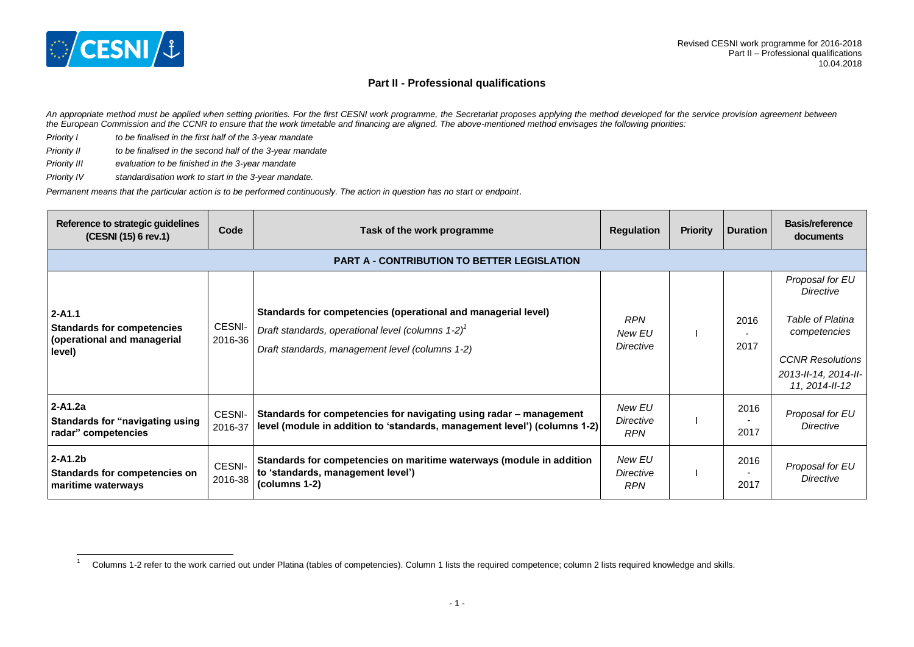

 $\overline{1}$ 

## **Part II - Professional qualifications**

*An appropriate method must be applied when setting priorities. For the first CESNI work programme, the Secretariat proposes applying the method developed for the service provision agreement between the European Commission and the CCNR to ensure that the work timetable and financing are aligned. The above-mentioned method envisages the following priorities:*

- *Priority I to be finalised in the first half of the 3-year mandate*
- *Priority II to be finalised in the second half of the 3-year mandate*
- *Priority III evaluation to be finished in the 3-year mandate*
- *Priority IV standardisation work to start in the 3-year mandate.*

*Permanent means that the particular action is to be performed continuously. The action in question has no start or endpoint*.

| Reference to strategic guidelines<br>(CESNI (15) 6 rev.1)                                | Code                                               | Task of the work programme                                                                                                                                                           | <b>Regulation</b>                 | <b>Priority</b> | Duration     | <b>Basis/reference</b><br>documents                                                                                                  |  |  |
|------------------------------------------------------------------------------------------|----------------------------------------------------|--------------------------------------------------------------------------------------------------------------------------------------------------------------------------------------|-----------------------------------|-----------------|--------------|--------------------------------------------------------------------------------------------------------------------------------------|--|--|
|                                                                                          | <b>PART A - CONTRIBUTION TO BETTER LEGISLATION</b> |                                                                                                                                                                                      |                                   |                 |              |                                                                                                                                      |  |  |
| $2 - A1.1$<br><b>Standards for competencies</b><br>(operational and managerial<br>level) | CESNI-<br>2016-36                                  | Standards for competencies (operational and managerial level)<br>Draft standards, operational level (columns $1-2$ ) <sup>1</sup><br>Draft standards, management level (columns 1-2) | <b>RPN</b><br>New EU<br>Directive |                 | 2016<br>2017 | Proposal for EU<br>Directive<br>Table of Platina<br>competencies<br><b>CCNR Resolutions</b><br>2013-II-14, 2014-II-<br>11.2014-II-12 |  |  |
| $2 - A1.2a$<br>Standards for "navigating using<br>radar" competencies                    | CESNI-<br>2016-37                                  | Standards for competencies for navigating using radar – management<br>level (module in addition to 'standards, management level') (columns 1-2)                                      | New EU<br>Directive<br><b>RPN</b> |                 | 2016<br>2017 | Proposal for EU<br>Directive                                                                                                         |  |  |
| $2 - A1.2b$<br>Standards for competencies on<br>maritime waterways                       | CESNI-<br>2016-38                                  | Standards for competencies on maritime waterways (module in addition<br>to 'standards, management level')<br>(columns 1-2)                                                           | New EU<br>Directive<br><b>RPN</b> |                 | 2016<br>2017 | Proposal for EU<br>Directive                                                                                                         |  |  |

<sup>1</sup> Columns 1-2 refer to the work carried out under Platina (tables of competencies). Column 1 lists the required competence; column 2 lists required knowledge and skills.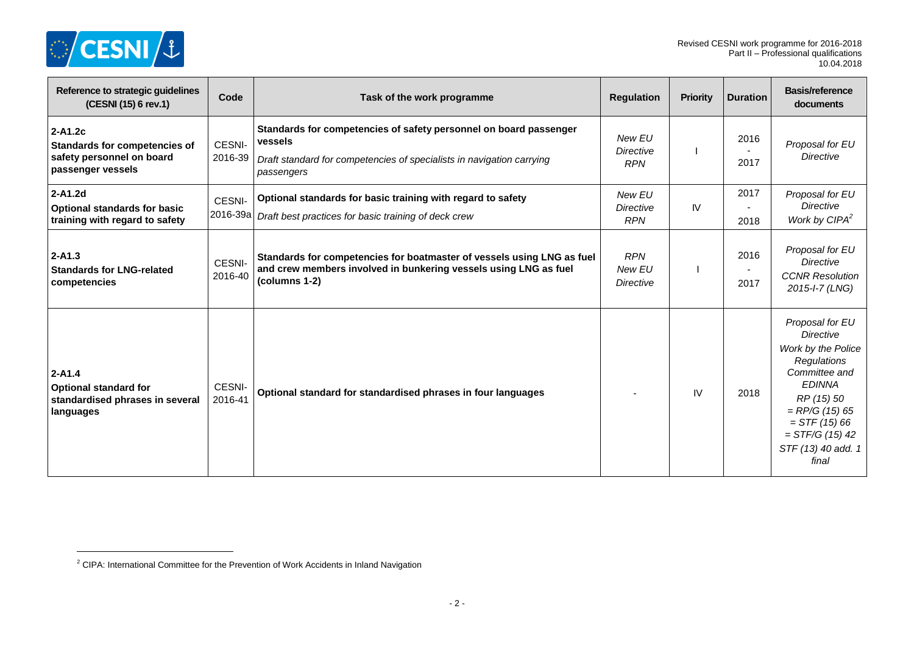

 $\overline{a}$ 

| Reference to strategic guidelines<br>(CESNI (15) 6 rev.1)                                         | Code               | Task of the work programme                                                                                                                                          | <b>Regulation</b>                        | Priority  | <b>Duration</b> | <b>Basis/reference</b><br>documents                                                                                                                                                                                        |
|---------------------------------------------------------------------------------------------------|--------------------|---------------------------------------------------------------------------------------------------------------------------------------------------------------------|------------------------------------------|-----------|-----------------|----------------------------------------------------------------------------------------------------------------------------------------------------------------------------------------------------------------------------|
| 2-A1.2c<br><b>Standards for competencies of</b><br>safety personnel on board<br>passenger vessels | CESNI-<br>2016-39  | Standards for competencies of safety personnel on board passenger<br>vessels<br>Draft standard for competencies of specialists in navigation carrying<br>passengers | New EU<br><b>Directive</b><br><b>RPN</b> |           | 2016<br>2017    | Proposal for EU<br><b>Directive</b>                                                                                                                                                                                        |
| 2-A1.2d<br><b>Optional standards for basic</b><br>training with regard to safety                  | CESNI-<br>2016-39a | Optional standards for basic training with regard to safety<br>Draft best practices for basic training of deck crew                                                 | New EU<br>Directive<br><b>RPN</b>        | <b>IV</b> | 2017<br>2018    | Proposal for EU<br><b>Directive</b><br>Work by CIPA <sup>2</sup>                                                                                                                                                           |
| $2 - A1.3$<br><b>Standards for LNG-related</b><br>competencies                                    | CESNI-<br>2016-40  | Standards for competencies for boatmaster of vessels using LNG as fuel<br>and crew members involved in bunkering vessels using LNG as fuel<br>(columns 1-2)         | <b>RPN</b><br>New EU<br>Directive        |           | 2016<br>2017    | Proposal for EU<br><b>Directive</b><br><b>CCNR Resolution</b><br>2015-I-7 (LNG)                                                                                                                                            |
| $2 - A1.4$<br><b>Optional standard for</b><br>standardised phrases in several<br>languages        | CESNI-<br>2016-41  | Optional standard for standardised phrases in four languages                                                                                                        |                                          | IV        | 2018            | Proposal for EU<br><b>Directive</b><br>Work by the Police<br><b>Regulations</b><br>Committee and<br><b>EDINNA</b><br>RP (15) 50<br>$=$ RP/G (15) 65<br>$=$ STF (15) 66<br>$=$ STF/G (15) 42<br>STF (13) 40 add. 1<br>final |

<sup>&</sup>lt;sup>2</sup> CIPA: International Committee for the Prevention of Work Accidents in Inland Navigation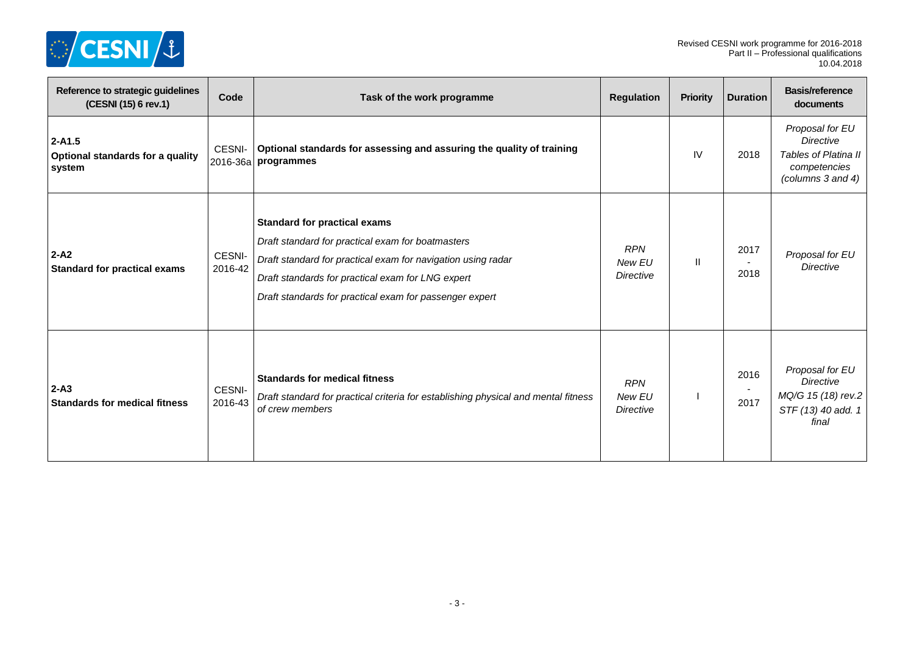

| Reference to strategic guidelines<br>(CESNI (15) 6 rev.1) | Code              | Task of the work programme                                                                                                                                                                                                                                               | <b>Regulation</b>                        | <b>Priority</b> | <b>Duration</b> | <b>Basis/reference</b><br>documents                                                              |
|-----------------------------------------------------------|-------------------|--------------------------------------------------------------------------------------------------------------------------------------------------------------------------------------------------------------------------------------------------------------------------|------------------------------------------|-----------------|-----------------|--------------------------------------------------------------------------------------------------|
| $2 - A1.5$<br>Optional standards for a quality<br>system  | CESNI-            | Optional standards for assessing and assuring the quality of training<br>2016-36a programmes                                                                                                                                                                             |                                          | IV              | 2018            | Proposal for EU<br><b>Directive</b><br>Tables of Platina II<br>competencies<br>(columns 3 and 4) |
| $2 - A2$<br><b>Standard for practical exams</b>           | CESNI-<br>2016-42 | <b>Standard for practical exams</b><br>Draft standard for practical exam for boatmasters<br>Draft standard for practical exam for navigation using radar<br>Draft standards for practical exam for LNG expert<br>Draft standards for practical exam for passenger expert | <b>RPN</b><br>New EU<br>Directive        | $\mathbf{I}$    | 2017<br>2018    | Proposal for EU<br><b>Directive</b>                                                              |
| $2-A3$<br><b>Standards for medical fitness</b>            | CESNI-<br>2016-43 | <b>Standards for medical fitness</b><br>Draft standard for practical criteria for establishing physical and mental fitness<br>of crew members                                                                                                                            | <b>RPN</b><br>New EU<br><b>Directive</b> |                 | 2016<br>2017    | Proposal for EU<br><b>Directive</b><br>MQ/G 15 (18) rev.2<br>STF (13) 40 add. 1<br>final         |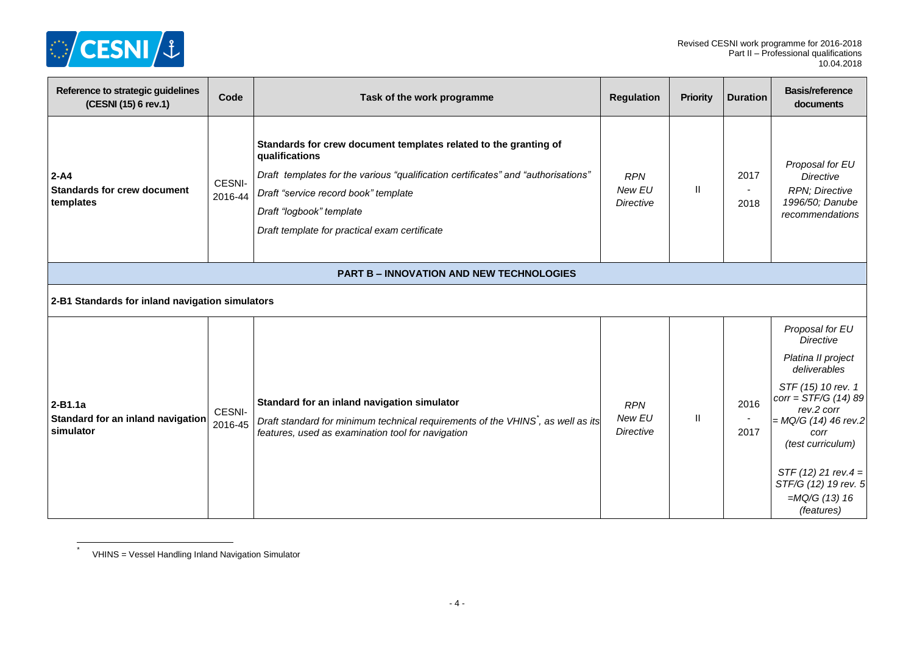

| Reference to strategic guidelines<br>(CESNI (15) 6 rev.1)   | Code              | Task of the work programme                                                                                                                                                                                                                                                                   | <b>Regulation</b>                        | <b>Priority</b> | <b>Duration</b> | <b>Basis/reference</b><br>documents                                                                                                                                                                                                                                             |
|-------------------------------------------------------------|-------------------|----------------------------------------------------------------------------------------------------------------------------------------------------------------------------------------------------------------------------------------------------------------------------------------------|------------------------------------------|-----------------|-----------------|---------------------------------------------------------------------------------------------------------------------------------------------------------------------------------------------------------------------------------------------------------------------------------|
| $2 - A4$<br><b>Standards for crew document</b><br>templates | CESNI-<br>2016-44 | Standards for crew document templates related to the granting of<br>qualifications<br>Draft templates for the various "qualification certificates" and "authorisations"<br>Draft "service record book" template<br>Draft "logbook" template<br>Draft template for practical exam certificate | <b>RPN</b><br>New EU<br><b>Directive</b> | $\mathbf{H}$    | 2017<br>2018    | Proposal for EU<br>Directive<br>RPN; Directive<br>1996/50; Danube<br>recommendations                                                                                                                                                                                            |
|                                                             |                   | <b>PART B - INNOVATION AND NEW TECHNOLOGIES</b>                                                                                                                                                                                                                                              |                                          |                 |                 |                                                                                                                                                                                                                                                                                 |
| 2-B1 Standards for inland navigation simulators             |                   |                                                                                                                                                                                                                                                                                              |                                          |                 |                 |                                                                                                                                                                                                                                                                                 |
| $2-B1.1a$<br>Standard for an inland navigation<br>simulator | CESNI-<br>2016-45 | Standard for an inland navigation simulator<br>Draft standard for minimum technical requirements of the VHINS, as well as its<br>features, used as examination tool for navigation                                                                                                           | <b>RPN</b><br>New EU<br><b>Directive</b> | $\mathbf{H}$    | 2016<br>2017    | Proposal for EU<br><b>Directive</b><br>Platina II project<br>deliverables<br>STF (15) 10 rev. 1<br>$corr = STF/G (14) 89$<br>rev.2 corr<br>$=$ MQ/G (14) 46 rev.2<br>corr<br>(test curriculum)<br>$STF(12) 21 rev.4 =$<br>STF/G (12) 19 rev. 5<br>$=MQ/G (13) 16$<br>(features) |

VHINS = Vessel Handling Inland Navigation Simulator

\*